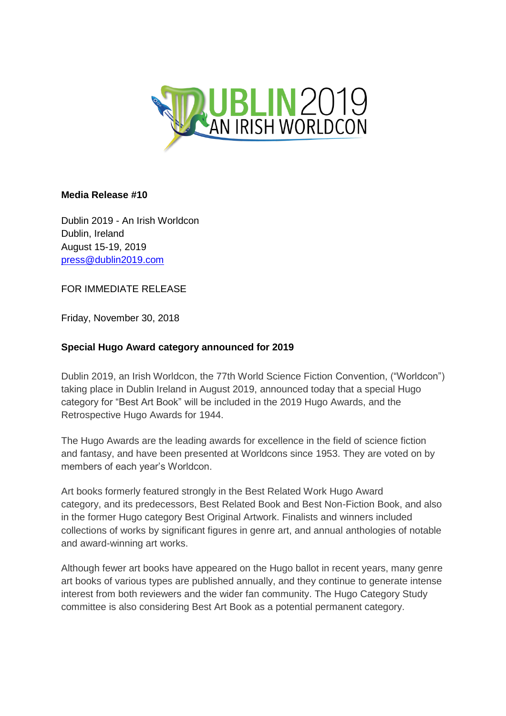

## **Media Release #10**

Dublin 2019 - An Irish Worldcon Dublin, Ireland August 15-19, 2019 [press@dublin2019.com](mailto:press@dublin2019.com)

FOR IMMEDIATE RELEASE

Friday, November 30, 2018

## **Special Hugo Award category announced for 2019**

Dublin 2019, an Irish Worldcon, the 77th World Science Fiction Convention, ("Worldcon") taking place in Dublin Ireland in August 2019, announced today that a special Hugo category for "Best Art Book" will be included in the 2019 Hugo Awards, and the Retrospective Hugo Awards for 1944.

The Hugo Awards are the leading awards for excellence in the field of science fiction and fantasy, and have been presented at Worldcons since 1953. They are voted on by members of each year's Worldcon.

Art books formerly featured strongly in the Best Related Work Hugo Award category, and its predecessors, Best Related Book and Best Non-Fiction Book, and also in the former Hugo category Best Original Artwork. Finalists and winners included collections of works by significant figures in genre art, and annual anthologies of notable and award-winning art works.

Although fewer art books have appeared on the Hugo ballot in recent years, many genre art books of various types are published annually, and they continue to generate intense interest from both reviewers and the wider fan community. The Hugo Category Study committee is also considering Best Art Book as a potential permanent category.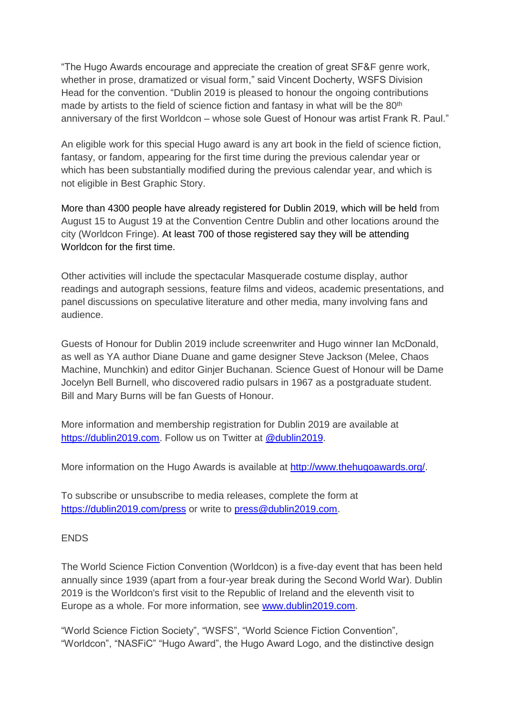"The Hugo Awards encourage and appreciate the creation of great SF&F genre work, whether in prose, dramatized or visual form," said Vincent Docherty, WSFS Division Head for the convention. "Dublin 2019 is pleased to honour the ongoing contributions made by artists to the field of science fiction and fantasy in what will be the 80<sup>th</sup> anniversary of the first Worldcon – whose sole Guest of Honour was artist Frank R. Paul."

An eligible work for this special Hugo award is any art book in the field of science fiction, fantasy, or fandom, appearing for the first time during the previous calendar year or which has been substantially modified during the previous calendar year, and which is not eligible in Best Graphic Story.

More than 4300 people have already registered for Dublin 2019, which will be held from August 15 to August 19 at the Convention Centre Dublin and other locations around the city (Worldcon Fringe). At least 700 of those registered say they will be attending Worldcon for the first time.

Other activities will include the spectacular Masquerade costume display, author readings and autograph sessions, feature films and videos, academic presentations, and panel discussions on speculative literature and other media, many involving fans and audience.

Guests of Honour for Dublin 2019 include screenwriter and Hugo winner Ian McDonald, as well as YA author Diane Duane and game designer Steve Jackson (Melee, Chaos Machine, Munchkin) and editor Ginjer Buchanan. Science Guest of Honour will be Dame Jocelyn Bell Burnell, who discovered radio pulsars in 1967 as a postgraduate student. Bill and Mary Burns will be fan Guests of Honour.

More information and membership registration for Dublin 2019 are available at [https://dublin2019.com.](https://dublin2019.com/) Follow us on Twitter at [@dublin2019.](https://twitter.com/dublin2019?lang=en)

More information on the Hugo Awards is available at http://www.thehugoawards.org/.

To subscribe or unsubscribe to media releases, complete the form at <https://dublin2019.com/press>or write to [press@dublin2019.com.](mailto:press@dublin2019.com)

## **FNDS**

The World Science Fiction Convention (Worldcon) is a five-day event that has been held annually since 1939 (apart from a four-year break during the Second World War). Dublin 2019 is the Worldcon's first visit to the Republic of Ireland and the eleventh visit to Europe as a whole. For more information, see [www.dublin2019.com.](file:///J:/yy%20Dublin%202019/www.dublin2019.com)

"World Science Fiction Society", "WSFS", "World Science Fiction Convention", "Worldcon", "NASFiC" "Hugo Award", the Hugo Award Logo, and the distinctive design